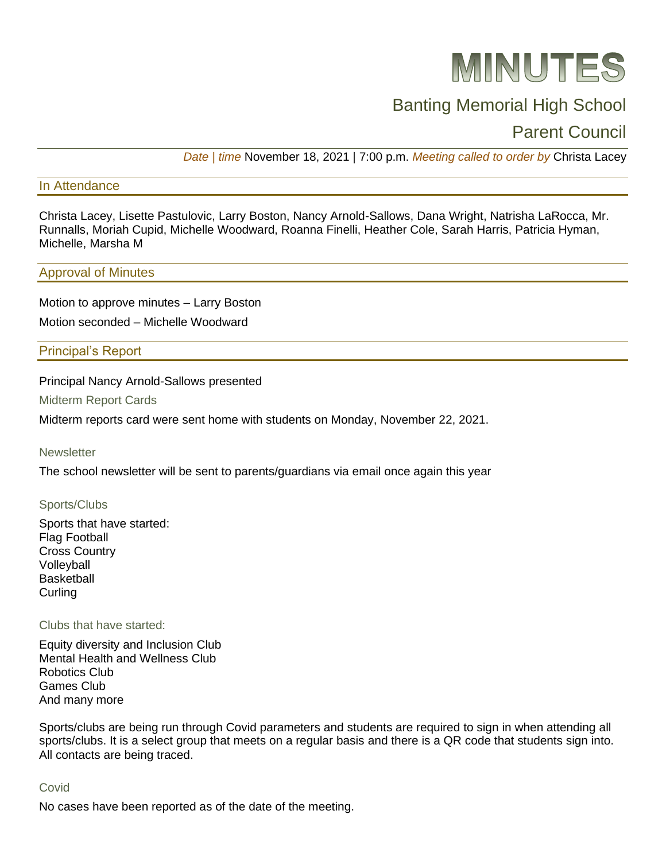

# Banting Memorial High School

# Parent Council

*Date | time* November 18, 2021 | 7:00 p.m. *Meeting called to order by* Christa Lacey

#### In Attendance

Christa Lacey, Lisette Pastulovic, Larry Boston, Nancy Arnold-Sallows, Dana Wright, Natrisha LaRocca, Mr. Runnalls, Moriah Cupid, Michelle Woodward, Roanna Finelli, Heather Cole, Sarah Harris, Patricia Hyman, Michelle, Marsha M

#### Approval of Minutes

Motion to approve minutes – Larry Boston Motion seconded – Michelle Woodward

Principal's Report

Principal Nancy Arnold-Sallows presented

Midterm Report Cards

Midterm reports card were sent home with students on Monday, November 22, 2021.

**Newsletter** 

The school newsletter will be sent to parents/guardians via email once again this year

#### Sports/Clubs

Sports that have started: Flag Football Cross Country **Volleyball Basketball Curling** 

#### Clubs that have started:

Equity diversity and Inclusion Club Mental Health and Wellness Club Robotics Club Games Club And many more

Sports/clubs are being run through Covid parameters and students are required to sign in when attending all sports/clubs. It is a select group that meets on a regular basis and there is a QR code that students sign into. All contacts are being traced.

#### Covid

No cases have been reported as of the date of the meeting.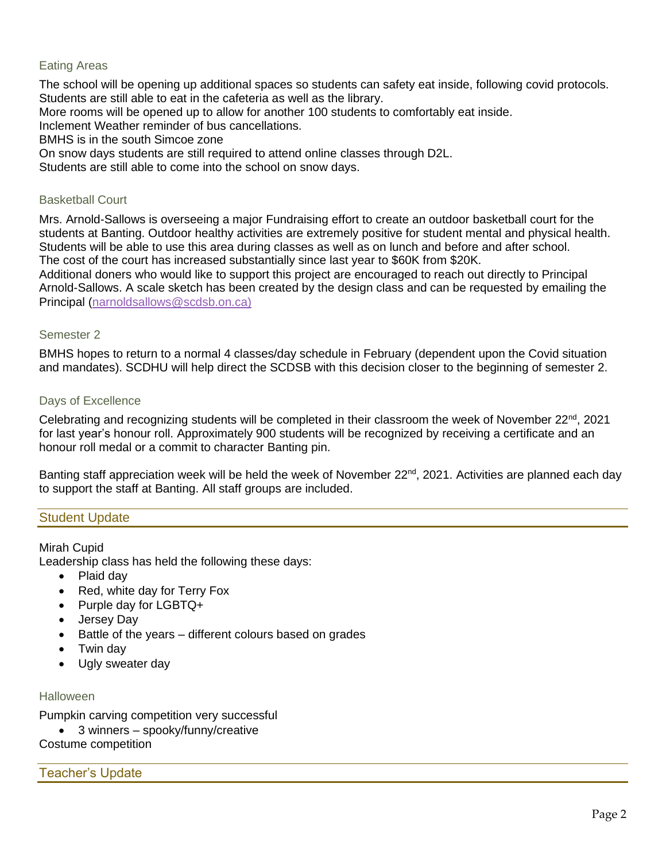### Eating Areas

The school will be opening up additional spaces so students can safety eat inside, following covid protocols. Students are still able to eat in the cafeteria as well as the library. More rooms will be opened up to allow for another 100 students to comfortably eat inside. Inclement Weather reminder of bus cancellations.

BMHS is in the south Simcoe zone

On snow days students are still required to attend online classes through D2L.

Students are still able to come into the school on snow days.

#### Basketball Court

Mrs. Arnold-Sallows is overseeing a major Fundraising effort to create an outdoor basketball court for the students at Banting. Outdoor healthy activities are extremely positive for student mental and physical health. Students will be able to use this area during classes as well as on lunch and before and after school. The cost of the court has increased substantially since last year to \$60K from \$20K.

Additional doners who would like to support this project are encouraged to reach out directly to Principal Arnold-Sallows. A scale sketch has been created by the design class and can be requested by emailing the Principal [\(narnoldsallows@scdsb.on.ca\)](mailto:narnoldsallows@scdsb.on.ca)

#### Semester 2

BMHS hopes to return to a normal 4 classes/day schedule in February (dependent upon the Covid situation and mandates). SCDHU will help direct the SCDSB with this decision closer to the beginning of semester 2.

#### Days of Excellence

Celebrating and recognizing students will be completed in their classroom the week of November  $22^{nd}$ , 2021 for last year's honour roll. Approximately 900 students will be recognized by receiving a certificate and an honour roll medal or a commit to character Banting pin.

Banting staff appreciation week will be held the week of November  $22^{nd}$ , 2021. Activities are planned each day to support the staff at Banting. All staff groups are included.

#### Student Update

Mirah Cupid

Leadership class has held the following these days:

- Plaid day
- Red, white day for Terry Fox
- Purple day for LGBTQ+
- Jersey Day
- Battle of the years different colours based on grades
- Twin day
- Ugly sweater day

#### **Halloween**

Pumpkin carving competition very successful

• 3 winners – spooky/funny/creative

Costume competition

#### Teacher's Update